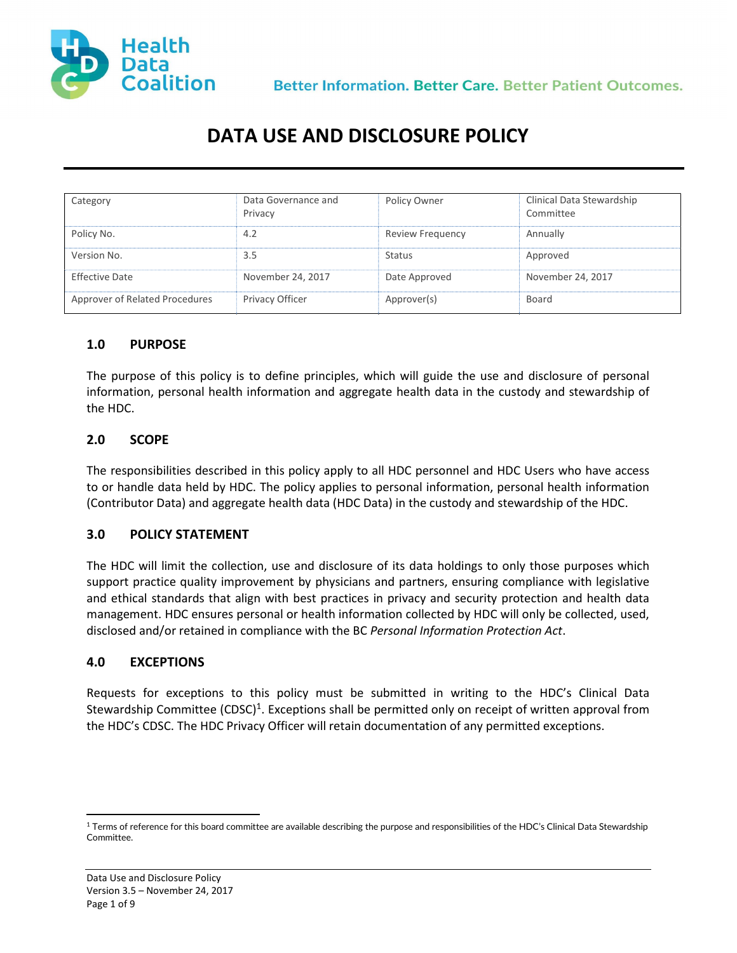

Better Information. Better Care. Better Patient Outcomes.

# DATA USE AND DISCLOSURE POLICY

| Category                       | Data Governance and<br>Privacy | Policy Owner            | Clinical Data Stewardship<br>Committee |
|--------------------------------|--------------------------------|-------------------------|----------------------------------------|
| Policy No.                     | 4.2                            | <b>Review Frequency</b> | Annually                               |
| Version No.                    | 3.5                            | <b>Status</b>           | Approved                               |
| Effective Date                 | November 24, 2017              | Date Approved           | November 24, 2017                      |
| Approver of Related Procedures | Privacy Officer                | Approver(s)             | Board                                  |

#### 1.0 PURPOSE

The purpose of this policy is to define principles, which will guide the use and disclosure of personal information, personal health information and aggregate health data in the custody and stewardship of the HDC.

#### 2.0 SCOPE

The responsibilities described in this policy apply to all HDC personnel and HDC Users who have access to or handle data held by HDC. The policy applies to personal information, personal health information (Contributor Data) and aggregate health data (HDC Data) in the custody and stewardship of the HDC.

#### 3.0 POLICY STATEMENT

The HDC will limit the collection, use and disclosure of its data holdings to only those purposes which support practice quality improvement by physicians and partners, ensuring compliance with legislative and ethical standards that align with best practices in privacy and security protection and health data management. HDC ensures personal or health information collected by HDC will only be collected, used, disclosed and/or retained in compliance with the BC Personal Information Protection Act.

### 4.0 EXCEPTIONS

Requests for exceptions to this policy must be submitted in writing to the HDC's Clinical Data Stewardship Committee (CDSC)<sup>1</sup>. Exceptions shall be permitted only on receipt of written approval from the HDC's CDSC. The HDC Privacy Officer will retain documentation of any permitted exceptions.

l

 $^{\rm 1}$  Terms of reference for this board committee are available describing the purpose and responsibilities of the HDC's Clinical Data Stewardship Committee.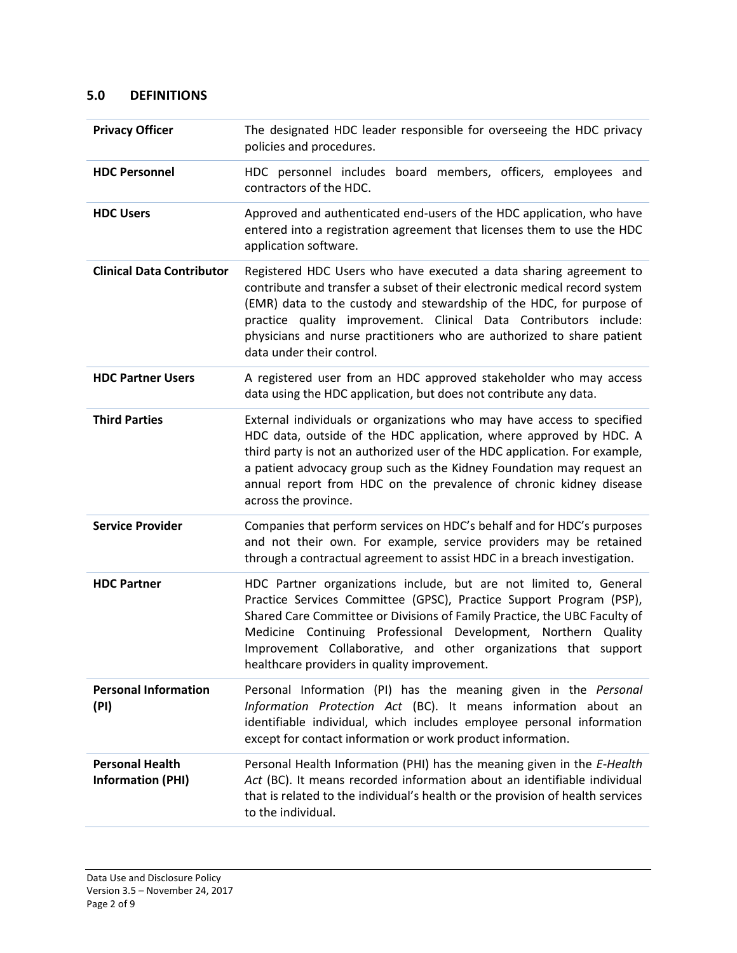# 5.0 DEFINITIONS

| <b>Privacy Officer</b>                             | The designated HDC leader responsible for overseeing the HDC privacy<br>policies and procedures.                                                                                                                                                                                                                                                                                                            |
|----------------------------------------------------|-------------------------------------------------------------------------------------------------------------------------------------------------------------------------------------------------------------------------------------------------------------------------------------------------------------------------------------------------------------------------------------------------------------|
| <b>HDC Personnel</b>                               | HDC personnel includes board members, officers, employees and<br>contractors of the HDC.                                                                                                                                                                                                                                                                                                                    |
| <b>HDC Users</b>                                   | Approved and authenticated end-users of the HDC application, who have<br>entered into a registration agreement that licenses them to use the HDC<br>application software.                                                                                                                                                                                                                                   |
| <b>Clinical Data Contributor</b>                   | Registered HDC Users who have executed a data sharing agreement to<br>contribute and transfer a subset of their electronic medical record system<br>(EMR) data to the custody and stewardship of the HDC, for purpose of<br>practice quality improvement. Clinical Data Contributors include:<br>physicians and nurse practitioners who are authorized to share patient<br>data under their control.        |
| <b>HDC Partner Users</b>                           | A registered user from an HDC approved stakeholder who may access<br>data using the HDC application, but does not contribute any data.                                                                                                                                                                                                                                                                      |
| <b>Third Parties</b>                               | External individuals or organizations who may have access to specified<br>HDC data, outside of the HDC application, where approved by HDC. A<br>third party is not an authorized user of the HDC application. For example,<br>a patient advocacy group such as the Kidney Foundation may request an<br>annual report from HDC on the prevalence of chronic kidney disease<br>across the province.           |
| <b>Service Provider</b>                            | Companies that perform services on HDC's behalf and for HDC's purposes<br>and not their own. For example, service providers may be retained<br>through a contractual agreement to assist HDC in a breach investigation.                                                                                                                                                                                     |
| <b>HDC Partner</b>                                 | HDC Partner organizations include, but are not limited to, General<br>Practice Services Committee (GPSC), Practice Support Program (PSP),<br>Shared Care Committee or Divisions of Family Practice, the UBC Faculty of<br>Medicine Continuing Professional Development, Northern Quality<br>Improvement Collaborative, and other organizations that support<br>healthcare providers in quality improvement. |
| <b>Personal Information</b><br>(PI)                | Personal Information (PI) has the meaning given in the Personal<br>Information Protection Act (BC). It means information about an<br>identifiable individual, which includes employee personal information<br>except for contact information or work product information.                                                                                                                                   |
| <b>Personal Health</b><br><b>Information (PHI)</b> | Personal Health Information (PHI) has the meaning given in the E-Health<br>Act (BC). It means recorded information about an identifiable individual<br>that is related to the individual's health or the provision of health services<br>to the individual.                                                                                                                                                 |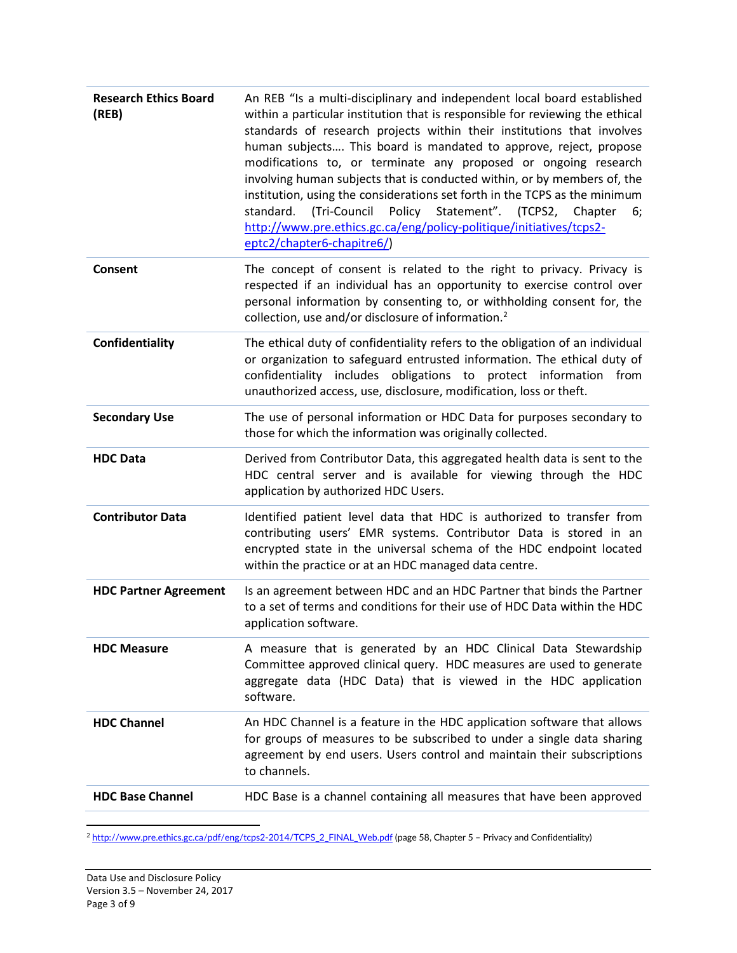| <b>Research Ethics Board</b><br>(REB) | An REB "Is a multi-disciplinary and independent local board established<br>within a particular institution that is responsible for reviewing the ethical<br>standards of research projects within their institutions that involves<br>human subjects This board is mandated to approve, reject, propose<br>modifications to, or terminate any proposed or ongoing research<br>involving human subjects that is conducted within, or by members of, the<br>institution, using the considerations set forth in the TCPS as the minimum<br>Policy Statement". (TCPS2, Chapter<br>standard. (Tri-Council<br>6;<br>http://www.pre.ethics.gc.ca/eng/policy-politique/initiatives/tcps2-<br>eptc2/chapter6-chapitre6/) |
|---------------------------------------|-----------------------------------------------------------------------------------------------------------------------------------------------------------------------------------------------------------------------------------------------------------------------------------------------------------------------------------------------------------------------------------------------------------------------------------------------------------------------------------------------------------------------------------------------------------------------------------------------------------------------------------------------------------------------------------------------------------------|
| <b>Consent</b>                        | The concept of consent is related to the right to privacy. Privacy is<br>respected if an individual has an opportunity to exercise control over<br>personal information by consenting to, or withholding consent for, the<br>collection, use and/or disclosure of information. <sup>2</sup>                                                                                                                                                                                                                                                                                                                                                                                                                     |
| Confidentiality                       | The ethical duty of confidentiality refers to the obligation of an individual<br>or organization to safeguard entrusted information. The ethical duty of<br>confidentiality includes obligations to protect information from<br>unauthorized access, use, disclosure, modification, loss or theft.                                                                                                                                                                                                                                                                                                                                                                                                              |
| <b>Secondary Use</b>                  | The use of personal information or HDC Data for purposes secondary to<br>those for which the information was originally collected.                                                                                                                                                                                                                                                                                                                                                                                                                                                                                                                                                                              |
| <b>HDC Data</b>                       | Derived from Contributor Data, this aggregated health data is sent to the<br>HDC central server and is available for viewing through the HDC<br>application by authorized HDC Users.                                                                                                                                                                                                                                                                                                                                                                                                                                                                                                                            |
| <b>Contributor Data</b>               | Identified patient level data that HDC is authorized to transfer from<br>contributing users' EMR systems. Contributor Data is stored in an<br>encrypted state in the universal schema of the HDC endpoint located<br>within the practice or at an HDC managed data centre.                                                                                                                                                                                                                                                                                                                                                                                                                                      |
| <b>HDC Partner Agreement</b>          | Is an agreement between HDC and an HDC Partner that binds the Partner<br>to a set of terms and conditions for their use of HDC Data within the HDC<br>application software.                                                                                                                                                                                                                                                                                                                                                                                                                                                                                                                                     |
| <b>HDC Measure</b>                    | A measure that is generated by an HDC Clinical Data Stewardship<br>Committee approved clinical query. HDC measures are used to generate<br>aggregate data (HDC Data) that is viewed in the HDC application<br>software.                                                                                                                                                                                                                                                                                                                                                                                                                                                                                         |
| <b>HDC Channel</b>                    | An HDC Channel is a feature in the HDC application software that allows<br>for groups of measures to be subscribed to under a single data sharing<br>agreement by end users. Users control and maintain their subscriptions<br>to channels.                                                                                                                                                                                                                                                                                                                                                                                                                                                                     |
| <b>HDC Base Channel</b>               | HDC Base is a channel containing all measures that have been approved                                                                                                                                                                                                                                                                                                                                                                                                                                                                                                                                                                                                                                           |

<sup>2</sup> http://www.pre.ethics.gc.ca/pdf/eng/tcps2-2014/TCPS\_2\_FINAL\_Web.pdf (page 58, Chapter 5 – Privacy and Confidentiality)

l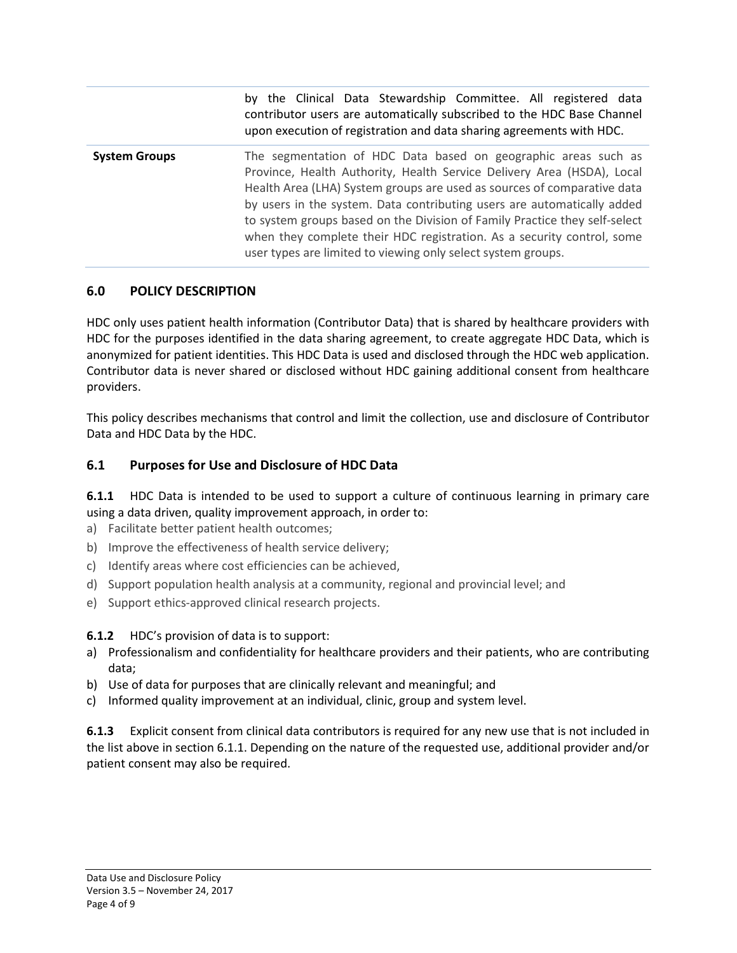|                      | by the Clinical Data Stewardship Committee. All registered data<br>contributor users are automatically subscribed to the HDC Base Channel<br>upon execution of registration and data sharing agreements with HDC.                                                                                                                                                                                                                                                                                                      |
|----------------------|------------------------------------------------------------------------------------------------------------------------------------------------------------------------------------------------------------------------------------------------------------------------------------------------------------------------------------------------------------------------------------------------------------------------------------------------------------------------------------------------------------------------|
| <b>System Groups</b> | The segmentation of HDC Data based on geographic areas such as<br>Province, Health Authority, Health Service Delivery Area (HSDA), Local<br>Health Area (LHA) System groups are used as sources of comparative data<br>by users in the system. Data contributing users are automatically added<br>to system groups based on the Division of Family Practice they self-select<br>when they complete their HDC registration. As a security control, some<br>user types are limited to viewing only select system groups. |

### 6.0 POLICY DESCRIPTION

HDC only uses patient health information (Contributor Data) that is shared by healthcare providers with HDC for the purposes identified in the data sharing agreement, to create aggregate HDC Data, which is anonymized for patient identities. This HDC Data is used and disclosed through the HDC web application. Contributor data is never shared or disclosed without HDC gaining additional consent from healthcare providers.

This policy describes mechanisms that control and limit the collection, use and disclosure of Contributor Data and HDC Data by the HDC.

### 6.1 Purposes for Use and Disclosure of HDC Data

6.1.1 HDC Data is intended to be used to support a culture of continuous learning in primary care using a data driven, quality improvement approach, in order to:

- a) Facilitate better patient health outcomes;
- b) Improve the effectiveness of health service delivery;
- c) Identify areas where cost efficiencies can be achieved,
- d) Support population health analysis at a community, regional and provincial level; and
- e) Support ethics-approved clinical research projects.

### 6.1.2 HDC's provision of data is to support:

- a) Professionalism and confidentiality for healthcare providers and their patients, who are contributing data;
- b) Use of data for purposes that are clinically relevant and meaningful; and
- c) Informed quality improvement at an individual, clinic, group and system level.

6.1.3 Explicit consent from clinical data contributors is required for any new use that is not included in the list above in section 6.1.1. Depending on the nature of the requested use, additional provider and/or patient consent may also be required.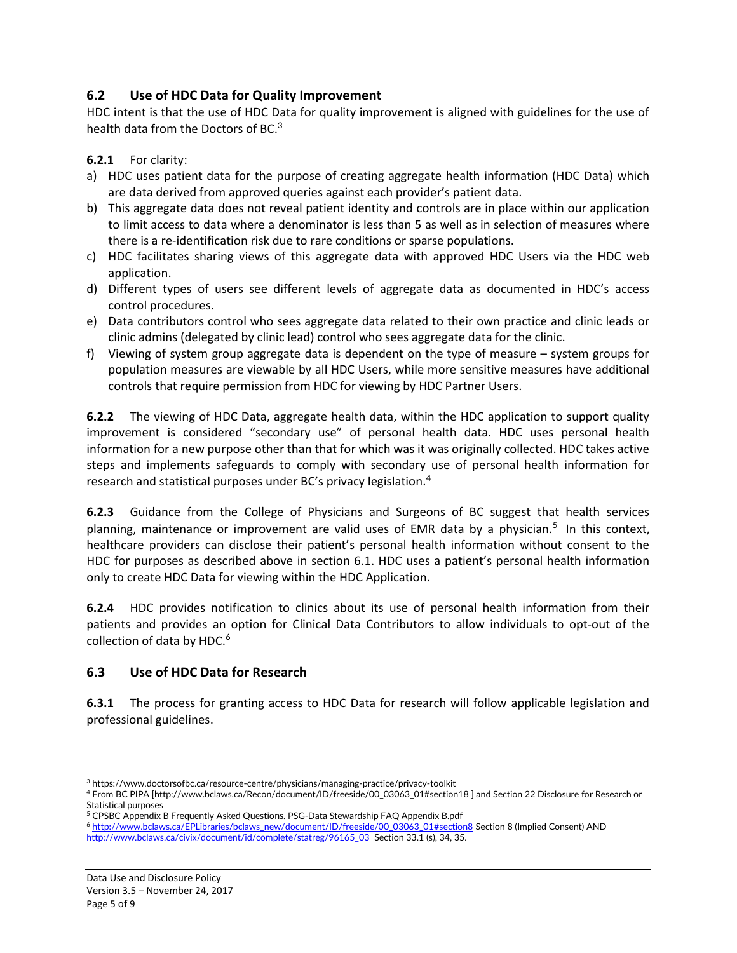# 6.2 Use of HDC Data for Quality Improvement

HDC intent is that the use of HDC Data for quality improvement is aligned with guidelines for the use of health data from the Doctors of BC. $3$ 

6.2.1 For clarity:

- a) HDC uses patient data for the purpose of creating aggregate health information (HDC Data) which are data derived from approved queries against each provider's patient data.
- b) This aggregate data does not reveal patient identity and controls are in place within our application to limit access to data where a denominator is less than 5 as well as in selection of measures where there is a re-identification risk due to rare conditions or sparse populations.
- c) HDC facilitates sharing views of this aggregate data with approved HDC Users via the HDC web application.
- d) Different types of users see different levels of aggregate data as documented in HDC's access control procedures.
- e) Data contributors control who sees aggregate data related to their own practice and clinic leads or clinic admins (delegated by clinic lead) control who sees aggregate data for the clinic.
- f) Viewing of system group aggregate data is dependent on the type of measure system groups for population measures are viewable by all HDC Users, while more sensitive measures have additional controls that require permission from HDC for viewing by HDC Partner Users.

6.2.2 The viewing of HDC Data, aggregate health data, within the HDC application to support quality improvement is considered "secondary use" of personal health data. HDC uses personal health information for a new purpose other than that for which was it was originally collected. HDC takes active steps and implements safeguards to comply with secondary use of personal health information for research and statistical purposes under BC's privacy legislation.<sup>4</sup>

**6.2.3** Guidance from the College of Physicians and Surgeons of BC suggest that health services planning, maintenance or improvement are valid uses of EMR data by a physician.<sup>5</sup> In this context, healthcare providers can disclose their patient's personal health information without consent to the HDC for purposes as described above in section 6.1. HDC uses a patient's personal health information only to create HDC Data for viewing within the HDC Application.

6.2.4 HDC provides notification to clinics about its use of personal health information from their patients and provides an option for Clinical Data Contributors to allow individuals to opt-out of the collection of data by HDC.<sup>6</sup>

# 6.3 Use of HDC Data for Research

6.3.1 The process for granting access to HDC Data for research will follow applicable legislation and professional guidelines.

l

<sup>3</sup> https://www.doctorsofbc.ca/resource-centre/physicians/managing-practice/privacy-toolkit

<sup>4</sup> From BC PIPA [http://www.bclaws.ca/Recon/document/ID/freeside/00\_03063\_01#section18 ] and Section 22 Disclosure for Research or Statistical purposes

<sup>&</sup>lt;sup>5</sup> CPSBC Appendix B Frequently Asked Questions. PSG-Data Stewardship FAQ Appendix B.pdf

<sup>6</sup> http://www.bclaws.ca/EPLibraries/bclaws\_new/document/ID/freeside/00\_03063\_01#section8 Section 8 (Implied Consent) AND http://www.bclaws.ca/civix/document/id/complete/statreg/96165\_03 Section 33.1 (s), 34, 35.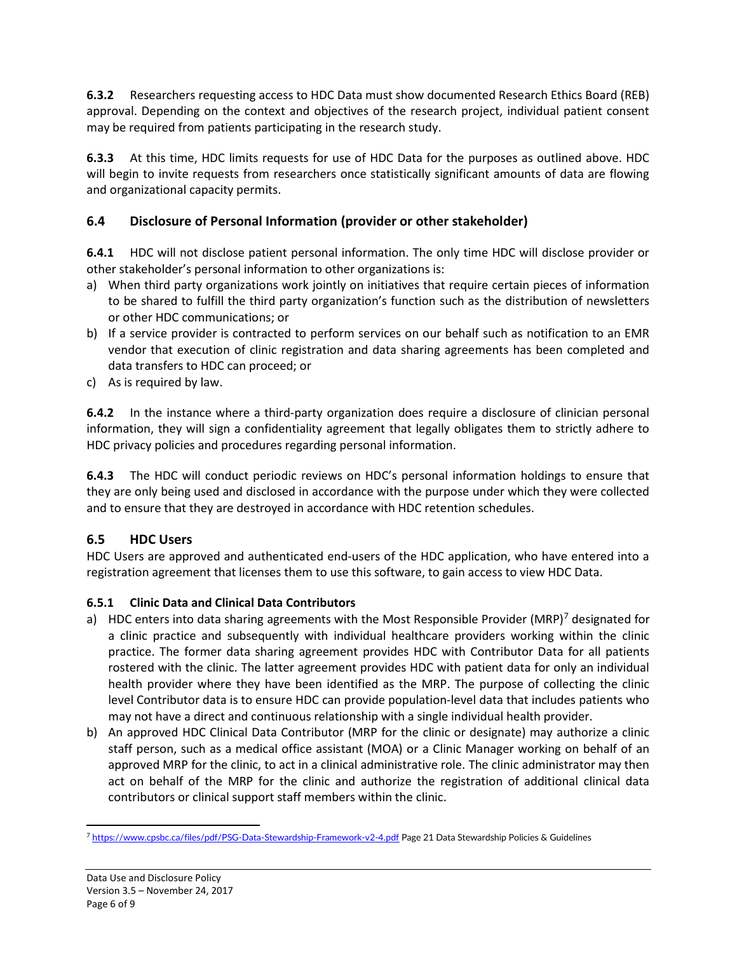6.3.2 Researchers requesting access to HDC Data must show documented Research Ethics Board (REB) approval. Depending on the context and objectives of the research project, individual patient consent may be required from patients participating in the research study.

6.3.3 At this time, HDC limits requests for use of HDC Data for the purposes as outlined above. HDC will begin to invite requests from researchers once statistically significant amounts of data are flowing and organizational capacity permits.

# 6.4 Disclosure of Personal Information (provider or other stakeholder)

6.4.1 HDC will not disclose patient personal information. The only time HDC will disclose provider or other stakeholder's personal information to other organizations is:

- a) When third party organizations work jointly on initiatives that require certain pieces of information to be shared to fulfill the third party organization's function such as the distribution of newsletters or other HDC communications; or
- b) If a service provider is contracted to perform services on our behalf such as notification to an EMR vendor that execution of clinic registration and data sharing agreements has been completed and data transfers to HDC can proceed; or
- c) As is required by law.

6.4.2 In the instance where a third-party organization does require a disclosure of clinician personal information, they will sign a confidentiality agreement that legally obligates them to strictly adhere to HDC privacy policies and procedures regarding personal information.

6.4.3 The HDC will conduct periodic reviews on HDC's personal information holdings to ensure that they are only being used and disclosed in accordance with the purpose under which they were collected and to ensure that they are destroyed in accordance with HDC retention schedules.

# 6.5 HDC Users

HDC Users are approved and authenticated end-users of the HDC application, who have entered into a registration agreement that licenses them to use this software, to gain access to view HDC Data.

# 6.5.1 Clinic Data and Clinical Data Contributors

- a) HDC enters into data sharing agreements with the Most Responsible Provider (MRP)<sup>7</sup> designated for a clinic practice and subsequently with individual healthcare providers working within the clinic practice. The former data sharing agreement provides HDC with Contributor Data for all patients rostered with the clinic. The latter agreement provides HDC with patient data for only an individual health provider where they have been identified as the MRP. The purpose of collecting the clinic level Contributor data is to ensure HDC can provide population-level data that includes patients who may not have a direct and continuous relationship with a single individual health provider.
- b) An approved HDC Clinical Data Contributor (MRP for the clinic or designate) may authorize a clinic staff person, such as a medical office assistant (MOA) or a Clinic Manager working on behalf of an approved MRP for the clinic, to act in a clinical administrative role. The clinic administrator may then act on behalf of the MRP for the clinic and authorize the registration of additional clinical data contributors or clinical support staff members within the clinic.

l <sup>7</sup> https://www.cpsbc.ca/files/pdf/PSG-Data-Stewardship-Framework-v2-4.pdf Page 21 Data Stewardship Policies & Guidelines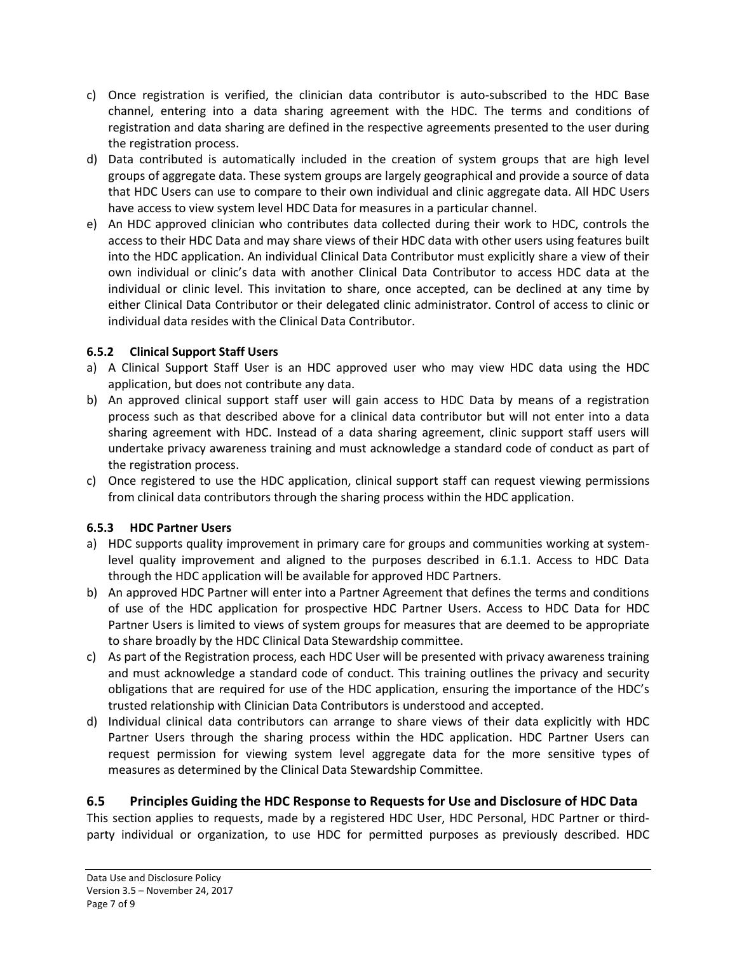- c) Once registration is verified, the clinician data contributor is auto-subscribed to the HDC Base channel, entering into a data sharing agreement with the HDC. The terms and conditions of registration and data sharing are defined in the respective agreements presented to the user during the registration process.
- d) Data contributed is automatically included in the creation of system groups that are high level groups of aggregate data. These system groups are largely geographical and provide a source of data that HDC Users can use to compare to their own individual and clinic aggregate data. All HDC Users have access to view system level HDC Data for measures in a particular channel.
- e) An HDC approved clinician who contributes data collected during their work to HDC, controls the access to their HDC Data and may share views of their HDC data with other users using features built into the HDC application. An individual Clinical Data Contributor must explicitly share a view of their own individual or clinic's data with another Clinical Data Contributor to access HDC data at the individual or clinic level. This invitation to share, once accepted, can be declined at any time by either Clinical Data Contributor or their delegated clinic administrator. Control of access to clinic or individual data resides with the Clinical Data Contributor.

# 6.5.2 Clinical Support Staff Users

- a) A Clinical Support Staff User is an HDC approved user who may view HDC data using the HDC application, but does not contribute any data.
- b) An approved clinical support staff user will gain access to HDC Data by means of a registration process such as that described above for a clinical data contributor but will not enter into a data sharing agreement with HDC. Instead of a data sharing agreement, clinic support staff users will undertake privacy awareness training and must acknowledge a standard code of conduct as part of the registration process.
- c) Once registered to use the HDC application, clinical support staff can request viewing permissions from clinical data contributors through the sharing process within the HDC application.

# 6.5.3 HDC Partner Users

- a) HDC supports quality improvement in primary care for groups and communities working at systemlevel quality improvement and aligned to the purposes described in 6.1.1. Access to HDC Data through the HDC application will be available for approved HDC Partners.
- b) An approved HDC Partner will enter into a Partner Agreement that defines the terms and conditions of use of the HDC application for prospective HDC Partner Users. Access to HDC Data for HDC Partner Users is limited to views of system groups for measures that are deemed to be appropriate to share broadly by the HDC Clinical Data Stewardship committee.
- c) As part of the Registration process, each HDC User will be presented with privacy awareness training and must acknowledge a standard code of conduct. This training outlines the privacy and security obligations that are required for use of the HDC application, ensuring the importance of the HDC's trusted relationship with Clinician Data Contributors is understood and accepted.
- d) Individual clinical data contributors can arrange to share views of their data explicitly with HDC Partner Users through the sharing process within the HDC application. HDC Partner Users can request permission for viewing system level aggregate data for the more sensitive types of measures as determined by the Clinical Data Stewardship Committee.

# 6.5 Principles Guiding the HDC Response to Requests for Use and Disclosure of HDC Data

This section applies to requests, made by a registered HDC User, HDC Personal, HDC Partner or thirdparty individual or organization, to use HDC for permitted purposes as previously described. HDC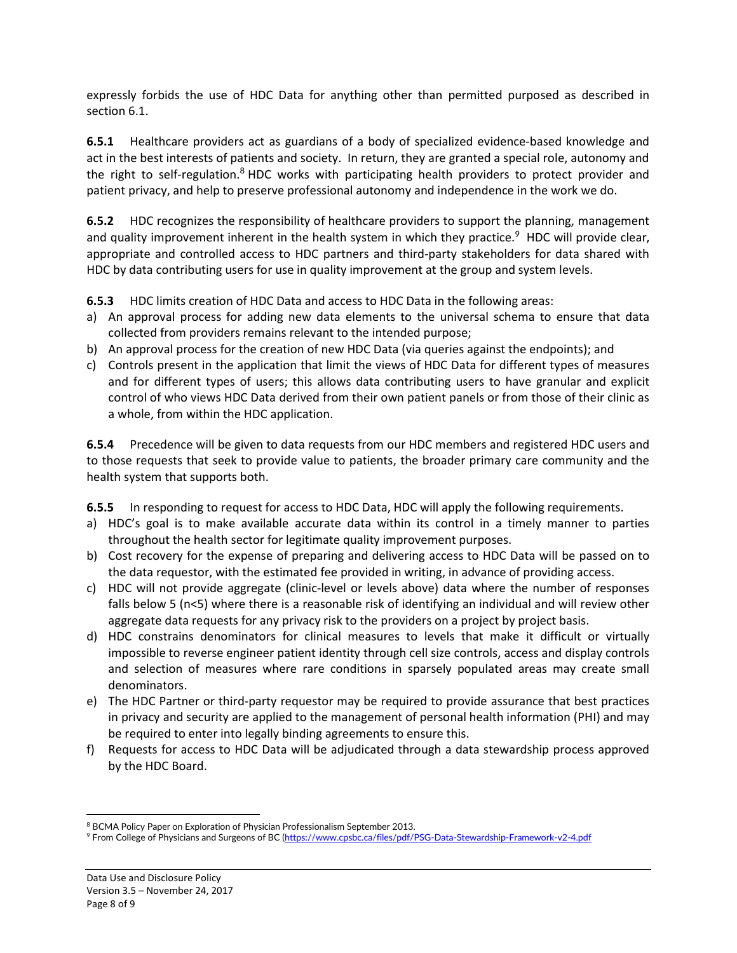expressly forbids the use of HDC Data for anything other than permitted purposed as described in section 6.1.

6.5.1 Healthcare providers act as guardians of a body of specialized evidence-based knowledge and act in the best interests of patients and society. In return, they are granted a special role, autonomy and the right to self-regulation.<sup>8</sup> HDC works with participating health providers to protect provider and patient privacy, and help to preserve professional autonomy and independence in the work we do.

6.5.2 HDC recognizes the responsibility of healthcare providers to support the planning, management and quality improvement inherent in the health system in which they practice.<sup>9</sup> HDC will provide clear, appropriate and controlled access to HDC partners and third-party stakeholders for data shared with HDC by data contributing users for use in quality improvement at the group and system levels.

6.5.3 HDC limits creation of HDC Data and access to HDC Data in the following areas:

- a) An approval process for adding new data elements to the universal schema to ensure that data collected from providers remains relevant to the intended purpose;
- b) An approval process for the creation of new HDC Data (via queries against the endpoints); and
- c) Controls present in the application that limit the views of HDC Data for different types of measures and for different types of users; this allows data contributing users to have granular and explicit control of who views HDC Data derived from their own patient panels or from those of their clinic as a whole, from within the HDC application.

6.5.4 Precedence will be given to data requests from our HDC members and registered HDC users and to those requests that seek to provide value to patients, the broader primary care community and the health system that supports both.

**6.5.5** In responding to request for access to HDC Data, HDC will apply the following requirements.

- a) HDC's goal is to make available accurate data within its control in a timely manner to parties throughout the health sector for legitimate quality improvement purposes.
- b) Cost recovery for the expense of preparing and delivering access to HDC Data will be passed on to the data requestor, with the estimated fee provided in writing, in advance of providing access.
- c) HDC will not provide aggregate (clinic-level or levels above) data where the number of responses falls below 5 (n<5) where there is a reasonable risk of identifying an individual and will review other aggregate data requests for any privacy risk to the providers on a project by project basis.
- d) HDC constrains denominators for clinical measures to levels that make it difficult or virtually impossible to reverse engineer patient identity through cell size controls, access and display controls and selection of measures where rare conditions in sparsely populated areas may create small denominators.
- e) The HDC Partner or third-party requestor may be required to provide assurance that best practices in privacy and security are applied to the management of personal health information (PHI) and may be required to enter into legally binding agreements to ensure this.
- f) Requests for access to HDC Data will be adjudicated through a data stewardship process approved by the HDC Board.

l <sup>8</sup> BCMA Policy Paper on Exploration of Physician Professionalism September 2013.

<sup>&</sup>lt;sup>9</sup> From College of Physicians and Surgeons of BC (https://www.cpsbc.ca/files/pdf/PSG-Data-Stewardship-Framework-v2-4.pdf